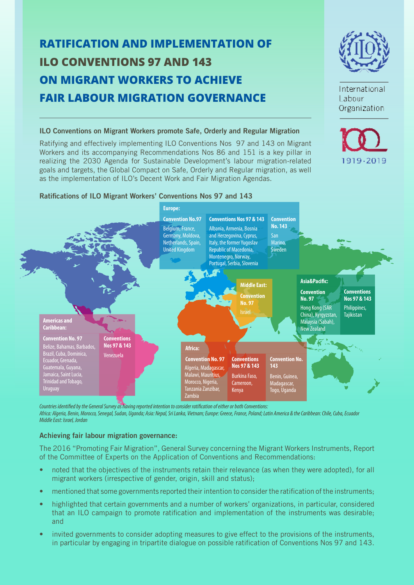# **RATIFICATION AND IMPLEMENTATION OF ILO CONVENTIONS 97 AND 143 ON MIGRANT WORKERS TO ACHIEVE FAIR LABOUR MIGRATION GOVERNANCE**



International Labour Organization

1919-2019



Ratifying and effectively implementing ILO Conventions Nos 97 and 143 on Migrant Workers and its accompanying Recommendations Nos 86 and 151 is a key pillar in realizing the 2030 Agenda for Sustainable Development's labour migration-related goals and targets, the Global Compact on Safe, Orderly and Regular migration, as well as the implementation of ILO's Decent Work and Fair Migration Agendas.

## **Ratifications of ILO Migrant Workers' Conventions Nos 97 and 143**



*Countries identified by the General Survey as having reported intention to consider ratification of either or both Conventions: Africa: Algeria, Benin, Morocco, Senegal, Sudan, Uganda; Asia: Nepal, Sri Lanka, Vietnam; Europe: Greece, France, Poland; Latin America & the Caribbean: Chile, Cuba, Ecuador Middle East: Israel, Jordan* 

## **Achieving fair labour migration governance:**

The 2016 "Promoting Fair Migration", General Survey concerning the Migrant Workers Instruments, Report of the Committee of Experts on the Application of Conventions and Recommendations:

- noted that the objectives of the instruments retain their relevance (as when they were adopted), for all migrant workers (irrespective of gender, origin, skill and status);
- mentioned that some governments reported their intention to consider the ratification of the instruments;
- highlighted that certain governments and a number of workers' organizations, in particular, considered that an ILO campaign to promote ratification and implementation of the instruments was desirable; and
- invited governments to consider adopting measures to give effect to the provisions of the instruments, in particular by engaging in tripartite dialogue on possible ratification of Conventions Nos 97 and 143.